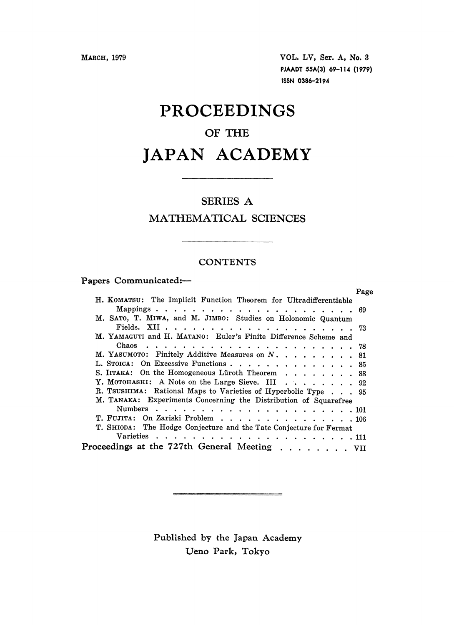MARCH, 1979 VOL. LV, Ser. A, No. 3 PJAADT 55A(3) 69-114 (1979) ISSN 0386-2194

## PROCEEDINGS

## OF THE

# JAPAN ACADEMY

### SERIES A

### MATHEMATICAL SCIENCES

### **CONTENTS**

#### Papers Communicated:-

|                                                                    | Page |
|--------------------------------------------------------------------|------|
| H. KOMATSU: The Implicit Function Theorem for Ultradifferentiable  |      |
|                                                                    |      |
| M. SATO, T. MIWA, and M. JIMBO: Studies on Holonomic Quantum       |      |
|                                                                    |      |
| M. YAMAGUTI and H. MATANO: Euler's Finite Difference Scheme and    |      |
|                                                                    |      |
| M. YASUMOTO: Finitely Additive Measures on N. 81                   |      |
| L. STOICA: On Excessive Functions 85                               |      |
| S. IITAKA: On the Homogeneous Lüroth Theorem 88                    |      |
| Y. MOTOHASHI: A Note on the Large Sieve. III 92                    |      |
| R. TSUSHIMA: Rational Maps to Varieties of Hyperbolic Type 95      |      |
| M. TANAKA: Experiments Concerning the Distribution of Squarefree   |      |
|                                                                    |      |
| T. FUJITA: On Zariski Problem 106                                  |      |
| T. SHIODA: The Hodge Conjecture and the Tate Conjecture for Fermat |      |
|                                                                    |      |
| Proceedings at the 727th General Meeting VII                       |      |

Published by the Japan Academy Ueno Park, Tokyo